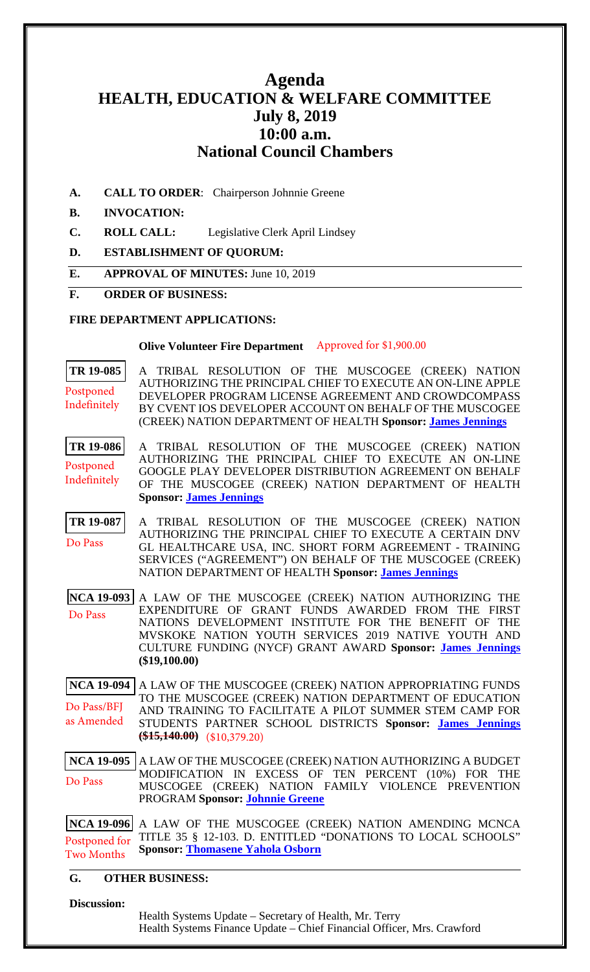# **Agenda HEALTH, EDUCATION & WELFARE COMMITTEE July 8, 2019 10:00 a.m. National Council Chambers**

**A. CALL TO ORDER**: Chairperson Johnnie Greene

# **B. INVOCATION:**

- **C. ROLL CALL:** Legislative Clerk April Lindsey
- **D. ESTABLISHMENT OF QUORUM:**
- **E. APPROVAL OF MINUTES:** June 10, 2019

#### **F. ORDER OF BUSINESS:**

### **FIRE DEPARTMENT APPLICATIONS:**

#### **Olive Volunteer Fire Department** Approved for \$1,900.00

**[TR 19-085](bills/19-085.pdf)** A TRIBAL RESOLUTION OF THE MUSCOGEE (CREEK) NATION AUTHORIZING THE PRINCIPAL CHIEF TO EXECUTE AN ON-LINE APPLE DEVELOPER PROGRAM LICENSE AGREEMENT AND CROWDCOMPASS BY CVENT IOS DEVELOPER ACCOUNT ON BEHALF OF THE MUSCOGEE (CREEK) NATION DEPARTMENT OF HEALTH **Sponsor: [James Jennings](mailto:jjennings@mcn-nsn.gov)** Postponed Indefinitely

**[TR 19-086](bills/19-086.pdf)** A TRIBAL RESOLUTION OF THE MUSCOGEE (CREEK) NATION AUTHORIZING THE PRINCIPAL CHIEF TO EXECUTE AN ON-LINE GOOGLE PLAY DEVELOPER DISTRIBUTION AGREEMENT ON BEHALF OF THE MUSCOGEE (CREEK) NATION DEPARTMENT OF HEALTH **Sponsor: [James Jennings](mailto:jjennings@mcn-nsn.gov)** Postponed Indefinitely

**[TR 19-087](bills/19-087.pdf)** A TRIBAL RESOLUTION OF THE MUSCOGEE (CREEK) NATION AUTHORIZING THE PRINCIPAL CHIEF TO EXECUTE A CERTAIN DNV GL HEALTHCARE USA, INC. SHORT FORM AGREEMENT - TRAINING SERVICES ("AGREEMENT") ON BEHALF OF THE MUSCOGEE (CREEK) NATION DEPARTMENT OF HEALTH **Sponsor: [James Jennings](mailto:jjennings@mcn-nsn.gov)** Do Pass

**[NCA 19-093](bills/NCA19-093.pdf)** A LAW OF THE MUSCOGEE (CREEK) NATION AUTHORIZING THE EXPENDITURE OF GRANT FUNDS AWARDED FROM THE FIRST NATIONS DEVELOPMENT INSTITUTE FOR THE BENEFIT OF THE MVSKOKE NATION YOUTH SERVICES 2019 NATIVE YOUTH AND CULTURE FUNDING (NYCF) GRANT AWARD **Sponsor: [James Jennings](mailto:jjennings@mcn-nsn.gov) (\$19,100.00)**  Do Pass

**[NCA 19-094](bills/NCA19-094.pdf)** A LAW OF THE MUSCOGEE (CREEK) NATION APPROPRIATING FUNDS TO THE MUSCOGEE (CREEK) NATION DEPARTMENT OF EDUCATION AND TRAINING TO FACILITATE A PILOT SUMMER STEM CAMP FOR STUDENTS PARTNER SCHOOL DISTRICTS **Sponsor: [James Jennings](mailto:jjennings@mcn-nsn.gov)**  $\frac{1}{1000}$  (\$10,379.20) Do Pass/BFJ as Amended

**[NCA 19-095](bills/NCA19-095.pdf)** A LAW OF THE MUSCOGEE (CREEK) NATION AUTHORIZING A BUDGET MODIFICATION IN EXCESS OF TEN PERCENT (10%) FOR THE MUSCOGEE (CREEK) NATION FAMILY VIOLENCE PREVENTION PROGRAM **Sponsor: [Johnnie Greene](mailto:jgreene@mcn-nsn.gov)** Do Pass

**[NCA 19-096](bills/NCA19-096.pdf)** A LAW OF THE MUSCOGEE (CREEK) NATION AMENDING MCNCA TITLE 35 § 12-103. D. ENTITLED "DONATIONS TO LOCAL SCHOOLS" **Sponsor: [Thomasene Yahola Osborn](mailto:tosborn@mcn-nsn.gov)** Postponed for Two Months

# **G. OTHER BUSINESS:**

#### **Discussion:**

Health Systems Update – Secretary of Health, Mr. Terry Health Systems Finance Update – Chief Financial Officer, Mrs. Crawford